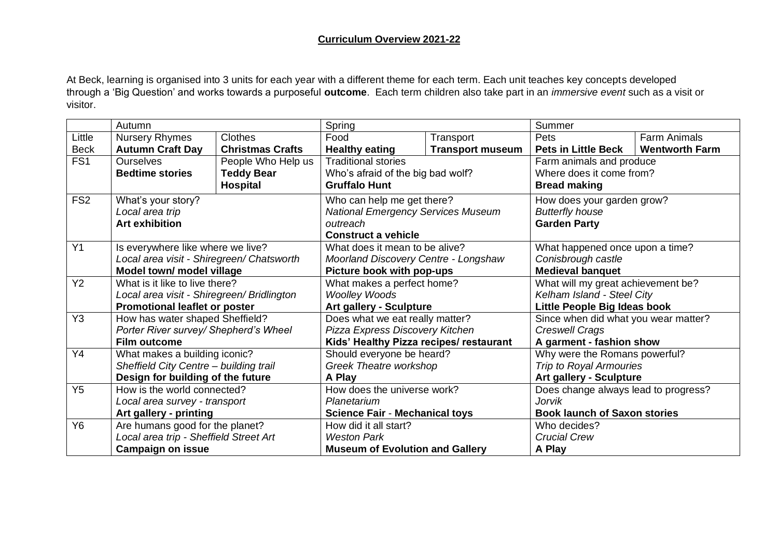At Beck, learning is organised into 3 units for each year with a different theme for each term. Each unit teaches key concepts developed through a 'Big Question' and works towards a purposeful **outcome**. Each term children also take part in an *immersive event* such as a visit or visitor.

|                 | Autumn                                                                                                               |                         | Spring                                                             |                         | Summer                               |                       |
|-----------------|----------------------------------------------------------------------------------------------------------------------|-------------------------|--------------------------------------------------------------------|-------------------------|--------------------------------------|-----------------------|
| Little          | <b>Nursery Rhymes</b>                                                                                                | <b>Clothes</b>          | Food                                                               | Transport               | Pets                                 | <b>Farm Animals</b>   |
| <b>Beck</b>     | <b>Autumn Craft Day</b>                                                                                              | <b>Christmas Crafts</b> | <b>Healthy eating</b>                                              | <b>Transport museum</b> | <b>Pets in Little Beck</b>           | <b>Wentworth Farm</b> |
| FS <sub>1</sub> | <b>Ourselves</b>                                                                                                     | People Who Help us      | <b>Traditional stories</b>                                         |                         | Farm animals and produce             |                       |
|                 | <b>Bedtime stories</b>                                                                                               | <b>Teddy Bear</b>       | Who's afraid of the big bad wolf?                                  |                         | Where does it come from?             |                       |
|                 |                                                                                                                      | <b>Hospital</b>         | <b>Gruffalo Hunt</b>                                               |                         | <b>Bread making</b>                  |                       |
| FS <sub>2</sub> | What's your story?                                                                                                   |                         | Who can help me get there?                                         |                         | How does your garden grow?           |                       |
|                 | Local area trip                                                                                                      |                         | <b>National Emergency Services Museum</b>                          |                         | <b>Butterfly house</b>               |                       |
|                 | <b>Art exhibition</b>                                                                                                |                         | outreach                                                           |                         | <b>Garden Party</b>                  |                       |
|                 |                                                                                                                      |                         | <b>Construct a vehicle</b>                                         |                         |                                      |                       |
| Y1              | Is everywhere like where we live?                                                                                    |                         | What does it mean to be alive?                                     |                         | What happened once upon a time?      |                       |
|                 | Local area visit - Shiregreen/ Chatsworth                                                                            |                         | Moorland Discovery Centre - Longshaw                               |                         | Conisbrough castle                   |                       |
|                 | Model town/ model village                                                                                            |                         | Picture book with pop-ups                                          |                         | <b>Medieval banquet</b>              |                       |
| Y2              | What is it like to live there?<br>Local area visit - Shiregreen/ Bridlington<br><b>Promotional leaflet or poster</b> |                         | What makes a perfect home?                                         |                         | What will my great achievement be?   |                       |
|                 |                                                                                                                      |                         | <b>Woolley Woods</b>                                               |                         | Kelham Island - Steel City           |                       |
|                 |                                                                                                                      |                         | Art gallery - Sculpture                                            |                         | Little People Big Ideas book         |                       |
| Y <sub>3</sub>  | How has water shaped Sheffield?<br>Porter River survey/ Shepherd's Wheel<br><b>Film outcome</b>                      |                         | Does what we eat really matter?<br>Pizza Express Discovery Kitchen |                         | Since when did what you wear matter? |                       |
|                 |                                                                                                                      |                         |                                                                    |                         | Creswell Crags                       |                       |
|                 |                                                                                                                      |                         | Kids' Healthy Pizza recipes/ restaurant                            |                         | A garment - fashion show             |                       |
| Y4              | What makes a building iconic?<br>Sheffield City Centre - building trail<br>Design for building of the future         |                         | Should everyone be heard?                                          |                         | Why were the Romans powerful?        |                       |
|                 |                                                                                                                      |                         | Greek Theatre workshop                                             |                         | <b>Trip to Royal Armouries</b>       |                       |
|                 |                                                                                                                      |                         | A Play                                                             |                         | <b>Art gallery - Sculpture</b>       |                       |
| Y <sub>5</sub>  | How is the world connected?<br>Local area survey - transport                                                         |                         | How does the universe work?                                        |                         | Does change always lead to progress? |                       |
|                 |                                                                                                                      |                         | Planetarium                                                        |                         | Jorvik                               |                       |
|                 | Art gallery - printing                                                                                               |                         | <b>Science Fair - Mechanical toys</b>                              |                         | <b>Book launch of Saxon stories</b>  |                       |
| Y6              | Are humans good for the planet?                                                                                      |                         | How did it all start?                                              |                         | Who decides?                         |                       |
|                 | Local area trip - Sheffield Street Art                                                                               |                         | <b>Weston Park</b>                                                 |                         | <b>Crucial Crew</b>                  |                       |
|                 | <b>Campaign on issue</b>                                                                                             |                         | <b>Museum of Evolution and Gallery</b>                             |                         | A Play                               |                       |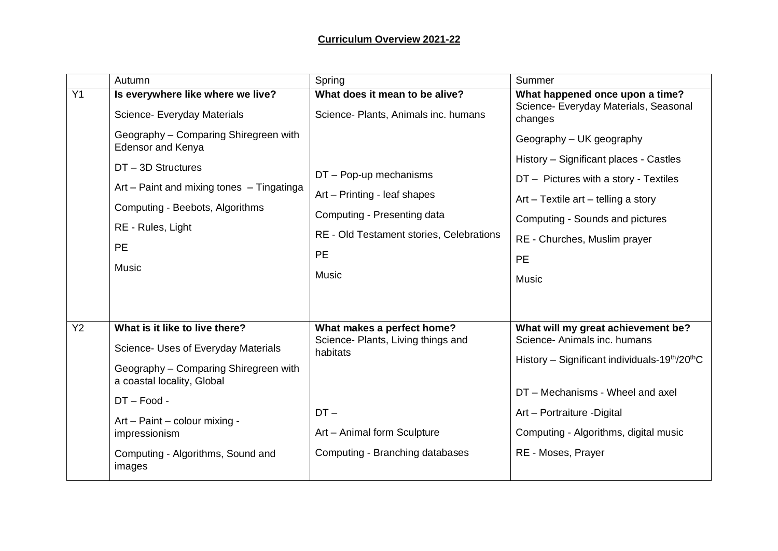## **Curriculum Overview 2021-22**

|           | Autumn                                                                                                                                                                                     | Spring                                                                                  | Summer                                                                                                                                                                                    |
|-----------|--------------------------------------------------------------------------------------------------------------------------------------------------------------------------------------------|-----------------------------------------------------------------------------------------|-------------------------------------------------------------------------------------------------------------------------------------------------------------------------------------------|
| Y1        | Is everywhere like where we live?<br>Science- Everyday Materials                                                                                                                           | What does it mean to be alive?<br>Science- Plants, Animals inc. humans                  | What happened once upon a time?<br>Science- Everyday Materials, Seasonal<br>changes                                                                                                       |
|           | Geography - Comparing Shiregreen with<br><b>Edensor and Kenya</b><br>DT-3D Structures<br>Art – Paint and mixing tones – Tingatinga<br>Computing - Beebots, Algorithms<br>RE - Rules, Light | $DT - Pop-up$ mechanisms<br>Art - Printing - leaf shapes<br>Computing - Presenting data | Geography – UK geography<br>History - Significant places - Castles<br>DT - Pictures with a story - Textiles<br>$Art - Textile$ art $-$ telling a story<br>Computing - Sounds and pictures |
|           | <b>PE</b><br><b>Music</b>                                                                                                                                                                  | RE - Old Testament stories, Celebrations<br>PE<br><b>Music</b>                          | RE - Churches, Muslim prayer<br><b>PE</b><br><b>Music</b>                                                                                                                                 |
| <b>Y2</b> | What is it like to live there?<br>Science- Uses of Everyday Materials<br>Geography - Comparing Shiregreen with<br>a coastal locality, Global<br>$DT - Food -$                              | What makes a perfect home?<br>Science- Plants, Living things and<br>habitats            | What will my great achievement be?<br>Science- Animals inc. humans<br>History – Significant individuals-19 <sup>th</sup> /20 <sup>th</sup> C<br>DT – Mechanisms - Wheel and axel          |
|           | Art - Paint - colour mixing -<br>impressionism<br>Computing - Algorithms, Sound and<br>images                                                                                              | $DT -$<br>Art - Animal form Sculpture<br>Computing - Branching databases                | Art - Portraiture - Digital<br>Computing - Algorithms, digital music<br>RE - Moses, Prayer                                                                                                |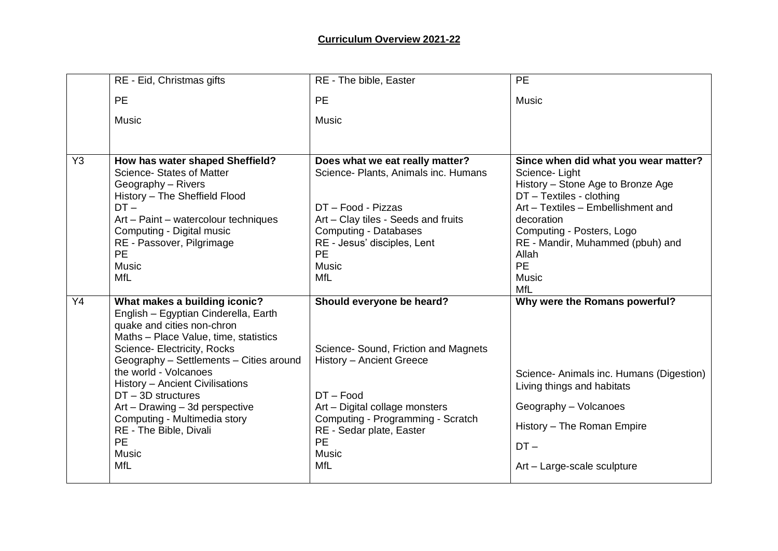|                | RE - Eid, Christmas gifts                                                                                                                                                                                                                                                                                                                                                                                                                  | RE - The bible, Easter                                                                                                                                                                                                                                     | <b>PE</b>                                                                                                                                                                                                                                                                                       |
|----------------|--------------------------------------------------------------------------------------------------------------------------------------------------------------------------------------------------------------------------------------------------------------------------------------------------------------------------------------------------------------------------------------------------------------------------------------------|------------------------------------------------------------------------------------------------------------------------------------------------------------------------------------------------------------------------------------------------------------|-------------------------------------------------------------------------------------------------------------------------------------------------------------------------------------------------------------------------------------------------------------------------------------------------|
|                | PE                                                                                                                                                                                                                                                                                                                                                                                                                                         | <b>PE</b>                                                                                                                                                                                                                                                  | <b>Music</b>                                                                                                                                                                                                                                                                                    |
|                | <b>Music</b>                                                                                                                                                                                                                                                                                                                                                                                                                               | <b>Music</b>                                                                                                                                                                                                                                               |                                                                                                                                                                                                                                                                                                 |
|                |                                                                                                                                                                                                                                                                                                                                                                                                                                            |                                                                                                                                                                                                                                                            |                                                                                                                                                                                                                                                                                                 |
| Y <sub>3</sub> | How has water shaped Sheffield?<br>Science- States of Matter<br>Geography - Rivers<br>History - The Sheffield Flood<br>$DT -$<br>Art - Paint - watercolour techniques<br>Computing - Digital music<br>RE - Passover, Pilgrimage<br><b>PE</b><br><b>Music</b><br><b>MfL</b>                                                                                                                                                                 | Does what we eat really matter?<br>Science- Plants, Animals inc. Humans<br>DT - Food - Pizzas<br>Art - Clay tiles - Seeds and fruits<br><b>Computing - Databases</b><br>RE - Jesus' disciples, Lent<br><b>PE</b><br><b>Music</b><br><b>MfL</b>             | Since when did what you wear matter?<br>Science-Light<br>History - Stone Age to Bronze Age<br>DT - Textiles - clothing<br>Art - Textiles - Embellishment and<br>decoration<br>Computing - Posters, Logo<br>RE - Mandir, Muhammed (pbuh) and<br>Allah<br><b>PE</b><br><b>Music</b><br><b>MfL</b> |
| Y4             | What makes a building iconic?<br>English - Egyptian Cinderella, Earth<br>quake and cities non-chron<br>Maths - Place Value, time, statistics<br>Science- Electricity, Rocks<br>Geography - Settlements - Cities around<br>the world - Volcanoes<br>History - Ancient Civilisations<br>$DT - 3D$ structures<br>Art - Drawing - 3d perspective<br>Computing - Multimedia story<br>RE - The Bible, Divali<br>PE<br><b>Music</b><br><b>MfL</b> | Should everyone be heard?<br>Science- Sound, Friction and Magnets<br>History - Ancient Greece<br>$DT - Food$<br>Art - Digital collage monsters<br>Computing - Programming - Scratch<br>RE - Sedar plate, Easter<br><b>PE</b><br><b>Music</b><br><b>MfL</b> | Why were the Romans powerful?<br>Science- Animals inc. Humans (Digestion)<br>Living things and habitats<br>Geography - Volcanoes<br>History - The Roman Empire<br>$DT -$<br>Art - Large-scale sculpture                                                                                         |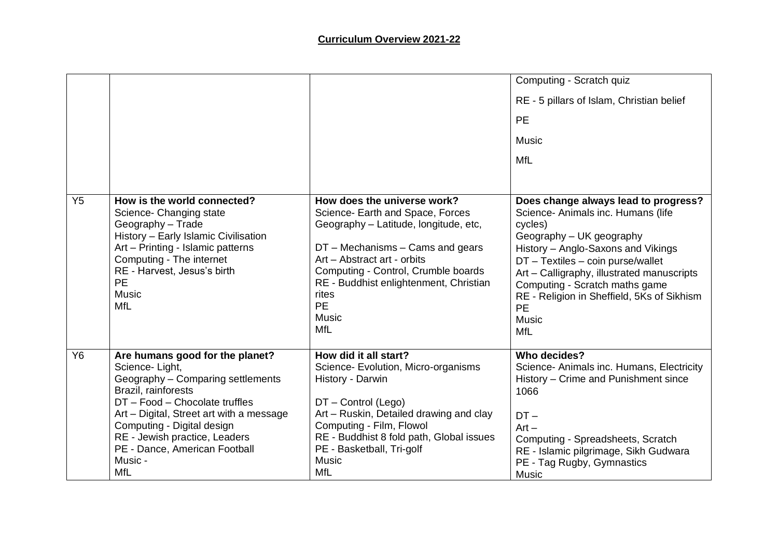|                                                                                                                                                                                                                                                                                                        |                                                                                                                                                                                                                                                                                                             | Computing - Scratch quiz                                                                                                                                                                                                                                                                                                                                       |
|--------------------------------------------------------------------------------------------------------------------------------------------------------------------------------------------------------------------------------------------------------------------------------------------------------|-------------------------------------------------------------------------------------------------------------------------------------------------------------------------------------------------------------------------------------------------------------------------------------------------------------|----------------------------------------------------------------------------------------------------------------------------------------------------------------------------------------------------------------------------------------------------------------------------------------------------------------------------------------------------------------|
|                                                                                                                                                                                                                                                                                                        |                                                                                                                                                                                                                                                                                                             | RE - 5 pillars of Islam, Christian belief                                                                                                                                                                                                                                                                                                                      |
|                                                                                                                                                                                                                                                                                                        |                                                                                                                                                                                                                                                                                                             | <b>PE</b>                                                                                                                                                                                                                                                                                                                                                      |
|                                                                                                                                                                                                                                                                                                        |                                                                                                                                                                                                                                                                                                             | <b>Music</b>                                                                                                                                                                                                                                                                                                                                                   |
|                                                                                                                                                                                                                                                                                                        |                                                                                                                                                                                                                                                                                                             | MfL                                                                                                                                                                                                                                                                                                                                                            |
|                                                                                                                                                                                                                                                                                                        |                                                                                                                                                                                                                                                                                                             |                                                                                                                                                                                                                                                                                                                                                                |
| How is the world connected?<br>Science- Changing state<br>Geography - Trade<br>History - Early Islamic Civilisation<br>Art - Printing - Islamic patterns<br>Computing - The internet<br>RE - Harvest, Jesus's birth<br><b>PE</b><br><b>Music</b><br><b>MfL</b>                                         | How does the universe work?<br>Science- Earth and Space, Forces<br>Geography - Latitude, longitude, etc,<br>$DT$ – Mechanisms – Cams and gears<br>Art - Abstract art - orbits<br>Computing - Control, Crumble boards<br>RE - Buddhist enlightenment, Christian<br>rites<br><b>PE</b><br>Music<br><b>MfL</b> | Does change always lead to progress?<br>Science- Animals inc. Humans (life<br>cycles)<br>Geography - UK geography<br>History - Anglo-Saxons and Vikings<br>DT - Textiles - coin purse/wallet<br>Art - Calligraphy, illustrated manuscripts<br>Computing - Scratch maths game<br>RE - Religion in Sheffield, 5Ks of Sikhism<br><b>PE</b><br>Music<br><b>MfL</b> |
| Are humans good for the planet?<br>Science-Light,<br>Geography - Comparing settlements<br>Brazil, rainforests<br>DT - Food - Chocolate truffles<br>Art - Digital, Street art with a message<br>Computing - Digital design<br>RE - Jewish practice, Leaders<br>PE - Dance, American Football<br>Music - | How did it all start?<br>Science- Evolution, Micro-organisms<br>History - Darwin<br>DT - Control (Lego)<br>Art - Ruskin, Detailed drawing and clay<br>Computing - Film, Flowol<br>RE - Buddhist 8 fold path, Global issues<br>PE - Basketball, Tri-golf<br><b>Music</b>                                     | Who decides?<br>Science- Animals inc. Humans, Electricity<br>History - Crime and Punishment since<br>1066<br>$DT -$<br>$Art -$<br>Computing - Spreadsheets, Scratch<br>RE - Islamic pilgrimage, Sikh Gudwara<br>PE - Tag Rugby, Gymnastics<br>Music                                                                                                            |
|                                                                                                                                                                                                                                                                                                        | <b>MfL</b>                                                                                                                                                                                                                                                                                                  | <b>MfL</b>                                                                                                                                                                                                                                                                                                                                                     |